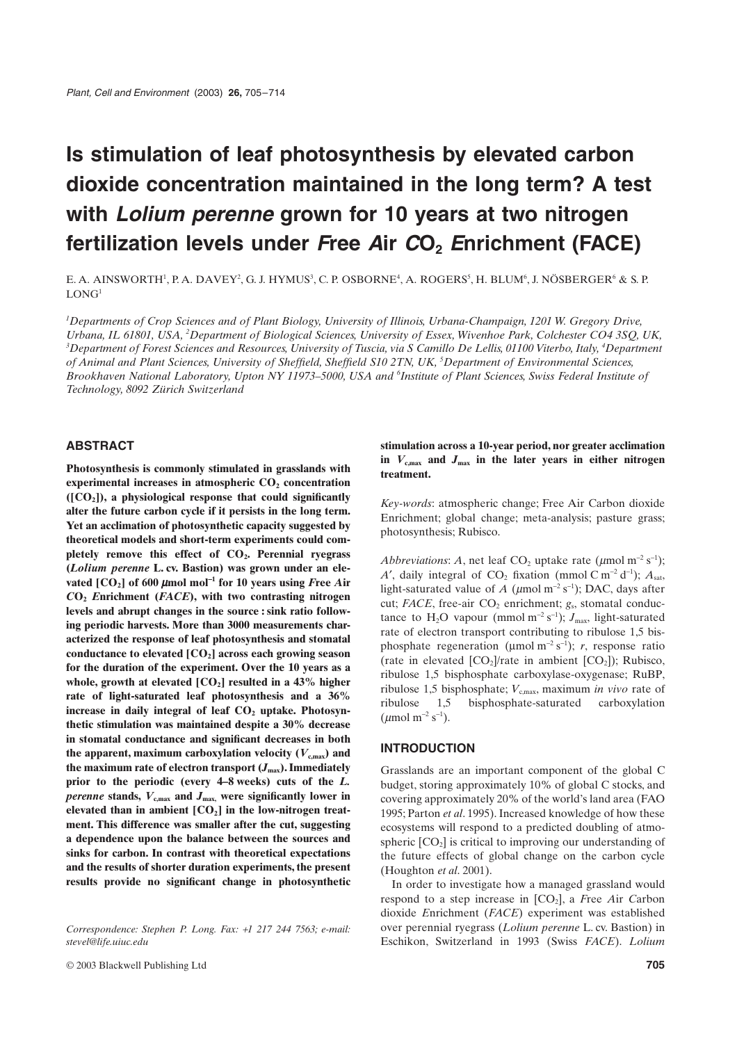# **Is stimulation of leaf photosynthesis by elevated carbon dioxide concentration maintained in the long term? A test with** *Lolium perenne* **grown for 10 years at two nitrogen fertilization levels under** *F***ree** *A***ir** *C***O2** *E***nrichment (FACE)**

E. A. AINSWORTH<sup>1</sup>, P. A. DAVEY<sup>2</sup>, G. J. HYMUS<sup>3</sup>, C. P. OSBORNE<sup>4</sup>, A. ROGERS<sup>5</sup>, H. BLUM<sup>6</sup>, J. NÖSBERGER<sup>6</sup> & S. P.  $LONG<sup>1</sup>$ 

<sup>1</sup>Departments of Crop Sciences and of Plant Biology, University of Illinois, Urbana-Champaign, 1201 W. Gregory Drive, *Urbana, IL 61801, USA, 2 Department of Biological Sciences, University of Essex, Wivenhoe Park, Colchester CO4 3SQ, UK, 3 Department of Forest Sciences and Resources, University of Tuscia, via S Camillo De Lellis, 01100 Viterbo, Italy, 4 Department of Animal and Plant Sciences, University of Sheffield, Sheffield S10 2TN, UK, 5 Department of Environmental Sciences, Brookhaven National Laboratory, Upton NY 11973–5000, USA and 6 Institute of Plant Sciences, Swiss Federal Institute of Technology, 8092 Zürich Switzerland*

# **ABSTRACT**

**Photosynthesis is commonly stimulated in grasslands with experimental increases in atmospheric CO<sub>2</sub> concentration ([CO2]), a physiological response that could significantly alter the future carbon cycle if it persists in the long term. Yet an acclimation of photosynthetic capacity suggested by theoretical models and short-term experiments could completely remove this effect of CO2. Perennial ryegrass (***Lolium perenne* **L. cv. Bastion) was grown under an elevated [CO2] of 600**  <sup>m</sup>**mol mol**-**<sup>1</sup> for 10 years using** *F***ree** *A***ir** *C***O2** *E***nrichment (***FACE***), with two contrasting nitrogen levels and abrupt changes in the source : sink ratio following periodic harvests. More than 3000 measurements characterized the response of leaf photosynthesis and stomatal conductance to elevated [CO2] across each growing season for the duration of the experiment. Over the 10 years as a** whole, growth at elevated  $[CO_2]$  resulted in a 43% higher **rate of light-saturated leaf photosynthesis and a 36%** increase in daily integral of leaf  $CO<sub>2</sub>$  uptake. Photosyn**thetic stimulation was maintained despite a 30% decrease in stomatal conductance and significant decreases in both** the apparent, maximum carboxylation velocity  $(V_{c,max})$  and the maximum rate of electron transport  $(J_{\text{max}})$ . Immediately **prior to the periodic (every 4–8 weeks) cuts of the** *L. perenne* **stands,** *V***c,max and** *J***max, were significantly lower in** elevated than in ambient [CO<sub>2</sub>] in the low-nitrogen treat**ment. This difference was smaller after the cut, suggesting a dependence upon the balance between the sources and sinks for carbon. In contrast with theoretical expectations and the results of shorter duration experiments, the present results provide no significant change in photosynthetic**

# **stimulation across a 10-year period, nor greater acclimation in** *V***c,max and** *J***max in the later years in either nitrogen treatment.**

*Key-words*: atmospheric change; Free Air Carbon dioxide Enrichment; global change; meta-analysis; pasture grass; photosynthesis; Rubisco.

*Abbreviations: A*, net leaf  $CO_2$  uptake rate ( $\mu$ mol m<sup>-2</sup> s<sup>-1</sup>);  $A'$ , daily integral of  $CO_2$  fixation (mmol  $C \text{ m}^{-2} \text{ d}^{-1}$ );  $A_{\text{sat}}$ , light-saturated value of *A* ( $\mu$ mol m<sup>-2</sup> s<sup>-1</sup>); DAC, days after cut; *FACE*, free-air CO<sub>2</sub> enrichment; *g*<sub>s</sub>, stomatal conductance to  $H_2O$  vapour (mmol m<sup>-2</sup> s<sup>-1</sup>);  $J_{\text{max}}$ , light-saturated rate of electron transport contributing to ribulose 1,5 bisphosphate regeneration ( $\mu$ mol m<sup>-2</sup> s<sup>-1</sup>); *r*, response ratio (rate in elevated  $[CO_2]$ /rate in ambient  $[CO_2]$ ); Rubisco, ribulose 1,5 bisphosphate carboxylase-oxygenase; RuBP, ribulose 1,5 bisphosphate;  $V_{c,max}$ , maximum *in vivo* rate of ribulose 1,5 bisphosphate-saturated carboxylation ( $\mu$ mol m<sup>-2</sup> s<sup>-1</sup>).

## **INTRODUCTION**

Grasslands are an important component of the global C budget, storing approximately 10% of global C stocks, and covering approximately 20% of the world's land area (FAO 1995; Parton *et al*. 1995). Increased knowledge of how these ecosystems will respond to a predicted doubling of atmospheric  $[CO<sub>2</sub>]$  is critical to improving our understanding of the future effects of global change on the carbon cycle (Houghton *et al*. 2001).

In order to investigate how a managed grassland would respond to a step increase in [CO<sub>2</sub>], a *Free Air Carbon* dioxide *E*nrichment (*FACE*) experiment was established over perennial ryegrass (*Lolium perenne* L. cv. Bastion) in Eschikon, Switzerland in 1993 (Swiss *FACE*). *Lolium*

*Correspondence: Stephen P. Long. Fax:* +*1 217 244 7563; e-mail: stevel@life.uiuc.edu*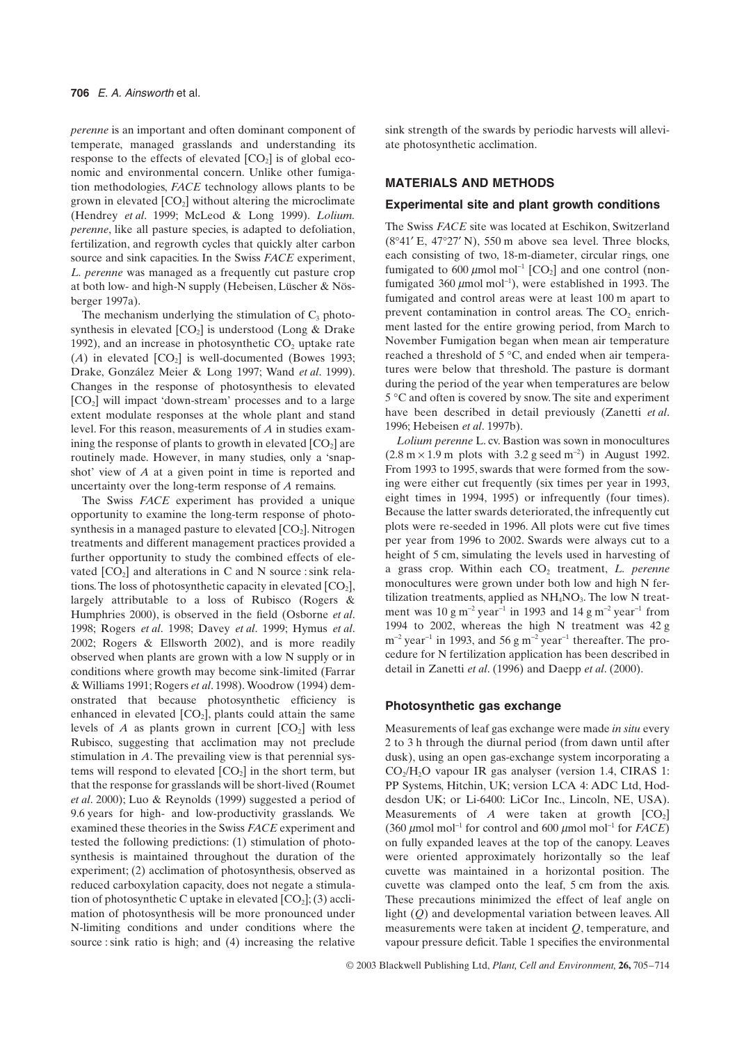*perenne* is an important and often dominant component of temperate, managed grasslands and understanding its response to the effects of elevated  $[CO<sub>2</sub>]$  is of global economic and environmental concern. Unlike other fumigation methodologies, *FACE* technology allows plants to be grown in elevated  $[CO<sub>2</sub>]$  without altering the microclimate (Hendrey *et al*. 1999; McLeod & Long 1999). *Lolium. perenne*, like all pasture species, is adapted to defoliation, fertilization, and regrowth cycles that quickly alter carbon source and sink capacities. In the Swiss *FACE* experiment, *L. perenne* was managed as a frequently cut pasture crop at both low- and high-N supply (Hebeisen, Lüscher & Nösberger 1997a).

The mechanism underlying the stimulation of  $C_3$  photosynthesis in elevated  $[CO_2]$  is understood (Long & Drake 1992), and an increase in photosynthetic  $CO<sub>2</sub>$  uptake rate  $(A)$  in elevated  $[CO_2]$  is well-documented (Bowes 1993; Drake, González Meier & Long 1997; Wand *et al*. 1999). Changes in the response of photosynthesis to elevated [CO2] will impact 'down-stream' processes and to a large extent modulate responses at the whole plant and stand level. For this reason, measurements of *A* in studies examining the response of plants to growth in elevated  $[CO<sub>2</sub>]$  are routinely made. However, in many studies, only a 'snapshot' view of *A* at a given point in time is reported and uncertainty over the long-term response of *A* remains.

The Swiss *FACE* experiment has provided a unique opportunity to examine the long-term response of photosynthesis in a managed pasture to elevated  $[CO<sub>2</sub>]$ . Nitrogen treatments and different management practices provided a further opportunity to study the combined effects of elevated  $[CO<sub>2</sub>]$  and alterations in C and N source : sink relations. The loss of photosynthetic capacity in elevated  $[CO<sub>2</sub>]$ , largely attributable to a loss of Rubisco (Rogers & Humphries 2000), is observed in the field (Osborne *et al*. 1998; Rogers *et al*. 1998; Davey *et al*. 1999; Hymus *et al*. 2002; Rogers & Ellsworth 2002), and is more readily observed when plants are grown with a low N supply or in conditions where growth may become sink-limited (Farrar & Williams 1991; Rogers *et al*. 1998). Woodrow (1994) demonstrated that because photosynthetic efficiency is enhanced in elevated  $[CO_2]$ , plants could attain the same levels of  $A$  as plants grown in current  $[CO_2]$  with less Rubisco, suggesting that acclimation may not preclude stimulation in *A*. The prevailing view is that perennial systems will respond to elevated  $[CO_2]$  in the short term, but that the response for grasslands will be short-lived (Roumet *et al*. 2000); Luo & Reynolds (1999) suggested a period of 9.6 years for high- and low-productivity grasslands. We examined these theories in the Swiss *FACE* experiment and tested the following predictions: (1) stimulation of photosynthesis is maintained throughout the duration of the experiment; (2) acclimation of photosynthesis, observed as reduced carboxylation capacity, does not negate a stimulation of photosynthetic C uptake in elevated  $[CO_2]$ ; (3) acclimation of photosynthesis will be more pronounced under N-limiting conditions and under conditions where the source : sink ratio is high; and (4) increasing the relative

sink strength of the swards by periodic harvests will alleviate photosynthetic acclimation.

# **MATERIALS AND METHODS**

# **Experimental site and plant growth conditions**

The Swiss *FACE* site was located at Eschikon, Switzerland  $(8°41′$  E, 47°27′ N), 550 m above sea level. Three blocks, each consisting of two, 18-m-diameter, circular rings, one fumigated to 600  $\mu$ mol mol<sup>-1</sup> [CO<sub>2</sub>] and one control (nonfumigated 360  $\mu$ mol mol<sup>-1</sup>), were established in 1993. The fumigated and control areas were at least 100 m apart to prevent contamination in control areas. The  $CO<sub>2</sub>$  enrichment lasted for the entire growing period, from March to November Fumigation began when mean air temperature reached a threshold of 5 ∞C, and ended when air temperatures were below that threshold. The pasture is dormant during the period of the year when temperatures are below 5 ℃ and often is covered by snow. The site and experiment have been described in detail previously (Zanetti *et al*. 1996; Hebeisen *et al*. 1997b).

*Lolium perenne* L. cv. Bastion was sown in monocultures  $(2.8 \text{ m} \times 1.9 \text{ m}$  plots with 3.2 g seed m<sup>-2</sup>) in August 1992. From 1993 to 1995, swards that were formed from the sowing were either cut frequently (six times per year in 1993, eight times in 1994, 1995) or infrequently (four times). Because the latter swards deteriorated, the infrequently cut plots were re-seeded in 1996. All plots were cut five times per year from 1996 to 2002. Swards were always cut to a height of 5 cm, simulating the levels used in harvesting of a grass crop. Within each CO<sub>2</sub> treatment, *L. perenne* monocultures were grown under both low and high N fertilization treatments, applied as  $NH<sub>4</sub>NO<sub>3</sub>$ . The low N treatment was  $10 \text{ g m}^{-2} \text{ year}^{-1}$  in 1993 and  $14 \text{ g m}^{-2} \text{ year}^{-1}$  from 1994 to 2002, whereas the high N treatment was 42 g  $m^{-2}$  year<sup>-1</sup> in 1993, and 56 g  $m^{-2}$  year<sup>-1</sup> thereafter. The procedure for N fertilization application has been described in detail in Zanetti *et al*. (1996) and Daepp *et al*. (2000).

# **Photosynthetic gas exchange**

Measurements of leaf gas exchange were made *in situ* every 2 to 3 h through the diurnal period (from dawn until after dusk), using an open gas-exchange system incorporating a  $CO<sub>2</sub>/H<sub>2</sub>O$  vapour IR gas analyser (version 1.4, CIRAS 1: PP Systems, Hitchin, UK; version LCA 4: ADC Ltd, Hoddesdon UK; or Li-6400: LiCor Inc., Lincoln, NE, USA). Measurements of  $A$  were taken at growth  $[CO_2]$ (360  $\mu$ mol mol<sup>-1</sup> for control and 600  $\mu$ mol mol<sup>-1</sup> for *FACE*) on fully expanded leaves at the top of the canopy. Leaves were oriented approximately horizontally so the leaf cuvette was maintained in a horizontal position. The cuvette was clamped onto the leaf, 5 cm from the axis. These precautions minimized the effect of leaf angle on light (*Q*) and developmental variation between leaves. All measurements were taken at incident *Q*, temperature, and vapour pressure deficit. Table 1 specifies the environmental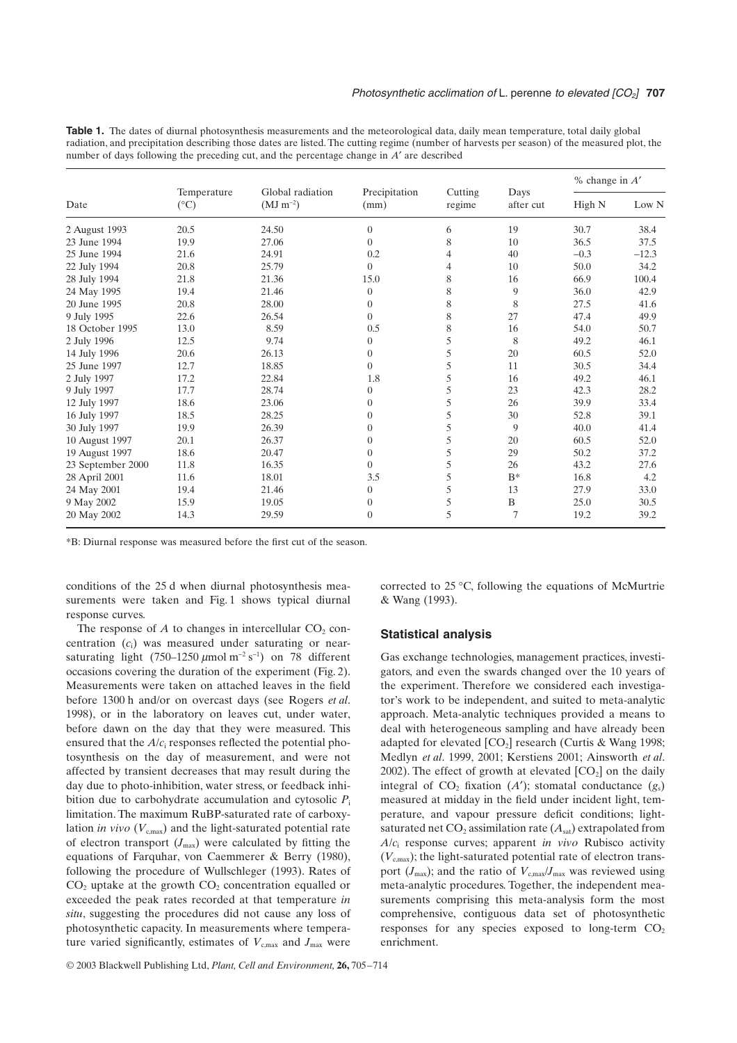**Table 1.** The dates of diurnal photosynthesis measurements and the meteorological data, daily mean temperature, total daily global radiation, and precipitation describing those dates are listed. The cutting regime (number of harvests per season) of the measured plot, the number of days following the preceding cut, and the percentage change in *A'* are described

| Date              | Temperature<br>$(^{\circ}C)$ | Global radiation<br>$(MJ \, m^{-2})$ | Precipitation<br>(mm) | Cutting<br>regime | Days<br>after cut | $%$ change in $A'$ |         |
|-------------------|------------------------------|--------------------------------------|-----------------------|-------------------|-------------------|--------------------|---------|
|                   |                              |                                      |                       |                   |                   | High N             | Low N   |
| 2 August 1993     | 20.5                         | 24.50                                | $\overline{0}$        | 6                 | 19                | 30.7               | 38.4    |
| 23 June 1994      | 19.9                         | 27.06                                | $\Omega$              | 8                 | 10                | 36.5               | 37.5    |
| 25 June 1994      | 21.6                         | 24.91                                | 0.2                   | 4                 | 40                | $-0.3$             | $-12.3$ |
| 22 July 1994      | 20.8                         | 25.79                                | $\Omega$              | $\overline{4}$    | 10                | 50.0               | 34.2    |
| 28 July 1994      | 21.8                         | 21.36                                | 15.0                  | 8                 | 16                | 66.9               | 100.4   |
| 24 May 1995       | 19.4                         | 21.46                                | $\overline{0}$        | 8                 | 9                 | 36.0               | 42.9    |
| 20 June 1995      | 20.8                         | 28.00                                | $\overline{0}$        | 8                 | 8                 | 27.5               | 41.6    |
| 9 July 1995       | 22.6                         | 26.54                                | $\Omega$              | 8                 | 27                | 47.4               | 49.9    |
| 18 October 1995   | 13.0                         | 8.59                                 | 0.5                   | 8                 | 16                | 54.0               | 50.7    |
| 2 July 1996       | 12.5                         | 9.74                                 | $\overline{0}$        | 5                 | 8                 | 49.2               | 46.1    |
| 14 July 1996      | 20.6                         | 26.13                                | $\overline{0}$        | 5                 | 20                | 60.5               | 52.0    |
| 25 June 1997      | 12.7                         | 18.85                                | $\overline{0}$        | 5                 | 11                | 30.5               | 34.4    |
| 2 July 1997       | 17.2                         | 22.84                                | 1.8                   | 5                 | 16                | 49.2               | 46.1    |
| 9 July 1997       | 17.7                         | 28.74                                | $\overline{0}$        | 5                 | 23                | 42.3               | 28.2    |
| 12 July 1997      | 18.6                         | 23.06                                | $\overline{0}$        | 5                 | 26                | 39.9               | 33.4    |
| 16 July 1997      | 18.5                         | 28.25                                | $\Omega$              | 5                 | 30                | 52.8               | 39.1    |
| 30 July 1997      | 19.9                         | 26.39                                | $\overline{0}$        | 5                 | 9                 | 40.0               | 41.4    |
| 10 August 1997    | 20.1                         | 26.37                                | $\overline{0}$        | 5                 | 20                | 60.5               | 52.0    |
| 19 August 1997    | 18.6                         | 20.47                                | $\overline{0}$        | 5                 | 29                | 50.2               | 37.2    |
| 23 September 2000 | 11.8                         | 16.35                                | $\Omega$              | 5                 | 26                | 43.2               | 27.6    |
| 28 April 2001     | 11.6                         | 18.01                                | 3.5                   | 5                 | $B^*$             | 16.8               | 4.2     |
| 24 May 2001       | 19.4                         | 21.46                                | $\overline{0}$        | 5                 | 13                | 27.9               | 33.0    |
| 9 May 2002        | 15.9                         | 19.05                                | $\overline{0}$        | 5                 | B                 | 25.0               | 30.5    |
| 20 May 2002       | 14.3                         | 29.59                                | $\overline{0}$        | 5                 | 7                 | 19.2               | 39.2    |

\*B: Diurnal response was measured before the first cut of the season.

conditions of the 25 d when diurnal photosynthesis measurements were taken and Fig. 1 shows typical diurnal response curves.

The response of  $A$  to changes in intercellular  $CO<sub>2</sub>$  concentration (*c*i) was measured under saturating or nearsaturating light  $(750-1250 \mu \text{mol m}^{-2} \text{ s}^{-1})$  on 78 different occasions covering the duration of the experiment (Fig. 2). Measurements were taken on attached leaves in the field before 1300 h and/or on overcast days (see Rogers *et al*. 1998), or in the laboratory on leaves cut, under water, before dawn on the day that they were measured. This ensured that the *A*/*c*i responses reflected the potential photosynthesis on the day of measurement, and were not affected by transient decreases that may result during the day due to photo-inhibition, water stress, or feedback inhibition due to carbohydrate accumulation and cytosolic  $P_i$ limitation. The maximum RuBP-saturated rate of carboxylation *in vivo*  $(V_{c,max})$  and the light-saturated potential rate of electron transport  $(J_{\text{max}})$  were calculated by fitting the equations of Farquhar, von Caemmerer & Berry (1980), following the procedure of Wullschleger (1993). Rates of  $CO<sub>2</sub>$  uptake at the growth  $CO<sub>2</sub>$  concentration equalled or exceeded the peak rates recorded at that temperature *in situ*, suggesting the procedures did not cause any loss of photosynthetic capacity. In measurements where temperature varied significantly, estimates of  $V_{c,max}$  and  $J_{max}$  were corrected to 25 ∞C, following the equations of McMurtrie & Wang (1993).

#### **Statistical analysis**

Gas exchange technologies, management practices, investigators, and even the swards changed over the 10 years of the experiment. Therefore we considered each investigator's work to be independent, and suited to meta-analytic approach. Meta-analytic techniques provided a means to deal with heterogeneous sampling and have already been adapted for elevated  $[CO_2]$  research (Curtis & Wang 1998; Medlyn *et al*. 1999, 2001; Kerstiens 2001; Ainsworth *et al*. 2002). The effect of growth at elevated  $[CO<sub>2</sub>]$  on the daily integral of  $CO_2$  fixation  $(A')$ ; stomatal conductance  $(g_s)$ measured at midday in the field under incident light, temperature, and vapour pressure deficit conditions; lightsaturated net  $CO_2$  assimilation rate  $(A<sub>sat</sub>)$  extrapolated from *A*/*c*<sup>i</sup> response curves; apparent *in vivo* Rubisco activity  $(V_{c,max})$ ; the light-saturated potential rate of electron transport  $(J_{\text{max}})$ ; and the ratio of  $V_{\text{c,max}}/J_{\text{max}}$  was reviewed using meta-analytic procedures. Together, the independent measurements comprising this meta-analysis form the most comprehensive, contiguous data set of photosynthetic responses for any species exposed to long-term  $CO<sub>2</sub>$ enrichment.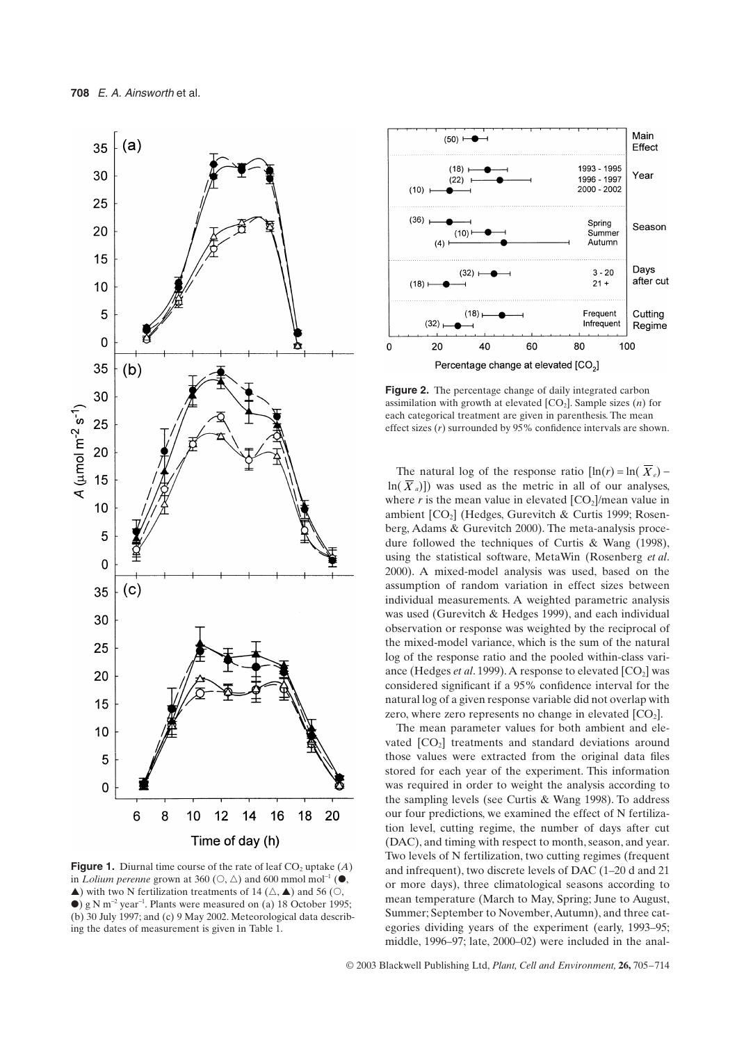

**Figure 1.** Diurnal time course of the rate of leaf  $CO<sub>2</sub>$  uptake  $(A)$ in *Lolium perenne* grown at 360 ( $\circ$ ,  $\triangle$ ) and 600 mmol mol<sup>-1</sup> ( $\bullet$ ,  $\blacktriangle$ ) with two N fertilization treatments of 14 ( $\triangle$ ,  $\blacktriangle$ ) and 56 ( $\heartsuit$ ,  $\bullet$ ) g N m<sup>-2</sup> year<sup>-1</sup>. Plants were measured on (a) 18 October 1995; (b) 30 July 1997; and (c) 9 May 2002. Meteorological data describing the dates of measurement is given in Table 1.



**Figure 2.** The percentage change of daily integrated carbon assimilation with growth at elevated  $[CO<sub>2</sub>]$ . Sample sizes  $(n)$  for each categorical treatment are given in parenthesis. The mean effect sizes (*r*) surrounded by 95% confidence intervals are shown.

The natural log of the response ratio  $[\ln(r)] = \ln(X_e)$  $ln(X_a)$ ) was used as the metric in all of our analyses, where  $r$  is the mean value in elevated  $[CO_2]$ /mean value in ambient  $[CO<sub>2</sub>]$  (Hedges, Gurevitch & Curtis 1999; Rosenberg, Adams & Gurevitch 2000). The meta-analysis procedure followed the techniques of Curtis & Wang (1998), using the statistical software, MetaWin (Rosenberg *et al*. 2000). A mixed-model analysis was used, based on the assumption of random variation in effect sizes between individual measurements. A weighted parametric analysis was used (Gurevitch & Hedges 1999), and each individual observation or response was weighted by the reciprocal of the mixed-model variance, which is the sum of the natural log of the response ratio and the pooled within-class variance (Hedges *et al.* 1999). A response to elevated [CO<sub>2</sub>] was considered significant if a 95% confidence interval for the natural log of a given response variable did not overlap with zero, where zero represents no change in elevated  $[CO<sub>2</sub>]$ .

The mean parameter values for both ambient and elevated  $[CO<sub>2</sub>]$  treatments and standard deviations around those values were extracted from the original data files stored for each year of the experiment. This information was required in order to weight the analysis according to the sampling levels (see Curtis & Wang 1998). To address our four predictions, we examined the effect of N fertilization level, cutting regime, the number of days after cut (DAC), and timing with respect to month, season, and year. Two levels of N fertilization, two cutting regimes (frequent and infrequent), two discrete levels of DAC (1–20 d and 21 or more days), three climatological seasons according to mean temperature (March to May, Spring; June to August, Summer; September to November, Autumn), and three categories dividing years of the experiment (early, 1993–95; middle, 1996–97; late, 2000–02) were included in the anal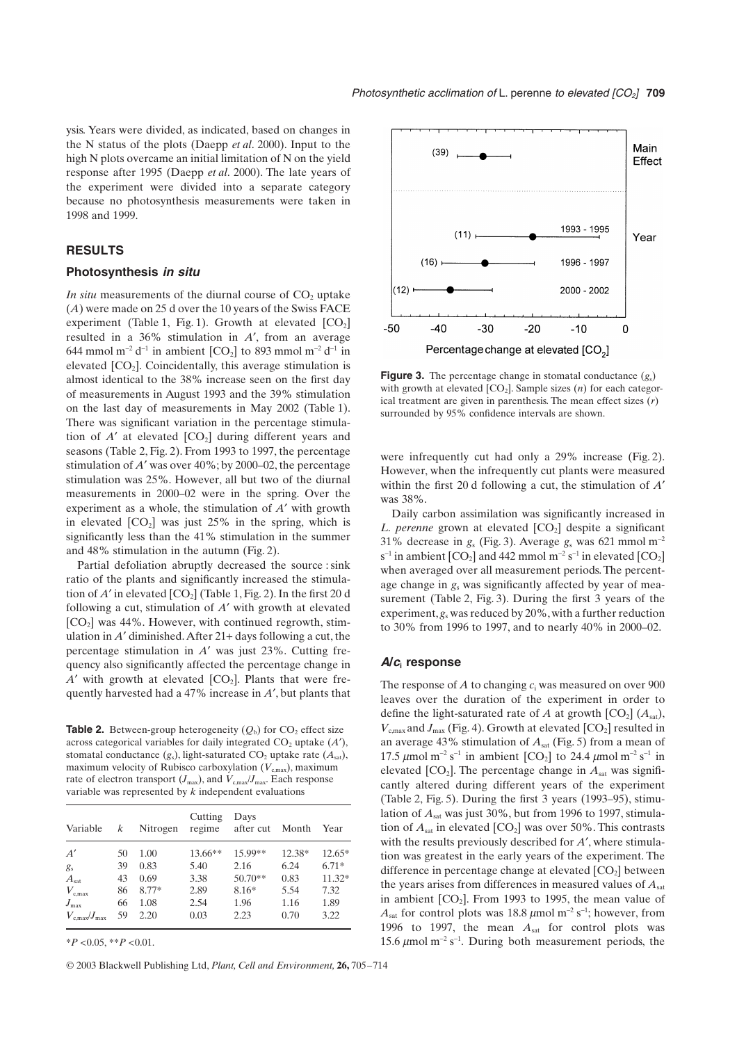ysis. Years were divided, as indicated, based on changes in the N status of the plots (Daepp *et al*. 2000). Input to the high N plots overcame an initial limitation of N on the yield response after 1995 (Daepp *et al*. 2000). The late years of the experiment were divided into a separate category because no photosynthesis measurements were taken in 1998 and 1999.

# **RESULTS**

#### **Photosynthesis** *in situ*

*In situ* measurements of the diurnal course of  $CO<sub>2</sub>$  uptake (*A*) were made on 25 d over the 10 years of the Swiss FACE experiment (Table 1, Fig. 1). Growth at elevated  $[CO<sub>2</sub>]$ resulted in a 36% stimulation in A', from an average 644 mmol m<sup>-2</sup> d<sup>-1</sup> in ambient [CO<sub>2</sub>] to 893 mmol m<sup>-2</sup> d<sup>-1</sup> in elevated  $[CO_2]$ . Coincidentally, this average stimulation is almost identical to the 38% increase seen on the first day of measurements in August 1993 and the 39% stimulation on the last day of measurements in May 2002 (Table 1). There was significant variation in the percentage stimulation of  $A'$  at elevated  $[CO_2]$  during different years and seasons (Table 2, Fig. 2). From 1993 to 1997, the percentage stimulation of  $A'$  was over  $40\%$ ; by 2000–02, the percentage stimulation was 25%. However, all but two of the diurnal measurements in 2000–02 were in the spring. Over the experiment as a whole, the stimulation of *A*¢ with growth in elevated  $[CO<sub>2</sub>]$  was just 25% in the spring, which is significantly less than the 41% stimulation in the summer and 48% stimulation in the autumn (Fig. 2).

Partial defoliation abruptly decreased the source : sink ratio of the plants and significantly increased the stimulation of  $A'$  in elevated  $[CO_2]$  (Table 1, Fig. 2). In the first 20 d following a cut, stimulation of *A*¢ with growth at elevated  $[CO<sub>2</sub>]$  was 44%. However, with continued regrowth, stimulation in  $A'$  diminished. After  $21+$  days following a cut, the percentage stimulation in *A*¢ was just 23%. Cutting frequency also significantly affected the percentage change in  $A'$  with growth at elevated  $[CO_2]$ . Plants that were frequently harvested had a 47% increase in *A*¢, but plants that

**Table 2.** Between-group heterogeneity  $(Q_b)$  for  $CO_2$  effect size across categorical variables for daily integrated  $CO<sub>2</sub>$  uptake  $(A<sup>'</sup>)$ , stomatal conductance  $(g_s)$ , light-saturated  $CO_2$  uptake rate  $(A_{sat})$ , maximum velocity of Rubisco carboxylation  $(V_{c,max})$ , maximum rate of electron transport ( $J_{\text{max}}$ ), and  $V_{\text{c,max}}/J_{\text{max}}$ . Each response variable was represented by *k* independent evaluations

| Variable                    | k  | Nitrogen | Cutting<br>regime | Days<br>after cut | Month  | Year     |
|-----------------------------|----|----------|-------------------|-------------------|--------|----------|
| A'                          | 50 | 1.00     | 13.66**           | 15.99**           | 12.38* | $12.65*$ |
| $g_{s}$                     | 39 | 0.83     | 5.40              | 2.16              | 6.24   | $6.71*$  |
| $A_{\text{sat}}$            | 43 | 0.69     | 3.38              | $50.70**$         | 0.83   | $11.32*$ |
| $V_{\rm c,max}$             | 86 | $8.77*$  | 2.89              | $8.16*$           | 5.54   | 7.32     |
| $J_{\rm max}$               | 66 | 1.08     | 2.54              | 1.96              | 1.16   | 1.89     |
| $V_{\rm c,max}/J_{\rm max}$ | 59 | 2.20     | 0.03              | 2.23              | 0.70   | 3.22     |

\**P* <0.05, \*\**P* <0.01.

© 2003 Blackwell Publishing Ltd, *Plant, Cell and Environment,* **26,** 705–714



**Figure 3.** The percentage change in stomatal conductance (*g*s) with growth at elevated  $[CO<sub>2</sub>]$ . Sample sizes  $(n)$  for each categorical treatment are given in parenthesis. The mean effect sizes (*r*) surrounded by 95% confidence intervals are shown.

were infrequently cut had only a 29% increase (Fig. 2). However, when the infrequently cut plants were measured within the first 20 d following a cut, the stimulation of *A'* was 38%.

Daily carbon assimilation was significantly increased in *L. perenne* grown at elevated [CO<sub>2</sub>] despite a significant 31% decrease in  $g_s$  (Fig. 3). Average  $g_s$  was 621 mmol m<sup>-2</sup> s<sup>-1</sup> in ambient [CO<sub>2</sub>] and 442 mmol m<sup>-2</sup> s<sup>-1</sup> in elevated [CO<sub>2</sub>] when averaged over all measurement periods. The percentage change in *g*<sup>s</sup> was significantly affected by year of measurement (Table 2, Fig. 3). During the first 3 years of the experiment, *g*<sup>s</sup> was reduced by 20%, with a further reduction to 30% from 1996 to 1997, and to nearly 40% in 2000–02.

#### *A***/***c***<sup>i</sup> response**

The response of *A* to changing *c*<sup>i</sup> was measured on over 900 leaves over the duration of the experiment in order to define the light-saturated rate of *A* at growth  $[CO_2]$  ( $A<sub>sat</sub>$ ),  $V_{\text{c,max}}$  and  $J_{\text{max}}$  (Fig. 4). Growth at elevated  $[CO_2]$  resulted in an average 43% stimulation of *A*sat (Fig. 5) from a mean of 17.5  $\mu$ mol m<sup>-2</sup> s<sup>-1</sup> in ambient [CO<sub>2</sub>] to 24.4  $\mu$ mol m<sup>-2</sup> s<sup>-1</sup> in elevated  $[CO_2]$ . The percentage change in  $A<sub>sat</sub>$  was significantly altered during different years of the experiment (Table 2, Fig. 5). During the first 3 years (1993–95), stimulation of *A*sat was just 30%, but from 1996 to 1997, stimulation of  $A_{\text{sat}}$  in elevated  $\text{[CO}_2\text{]}$  was over 50%. This contrasts with the results previously described for *A'*, where stimulation was greatest in the early years of the experiment. The difference in percentage change at elevated  $[CO<sub>2</sub>]$  between the years arises from differences in measured values of  $A_{\text{sat}}$ in ambient  $[CO_2]$ . From 1993 to 1995, the mean value of  $A_{\text{sat}}$  for control plots was 18.8  $\mu$ mol m<sup>-2</sup> s<sup>-1</sup>; however, from 1996 to 1997, the mean  $A<sub>sat</sub>$  for control plots was 15.6  $\mu$ mol m<sup>-2</sup> s<sup>-1</sup>. During both measurement periods, the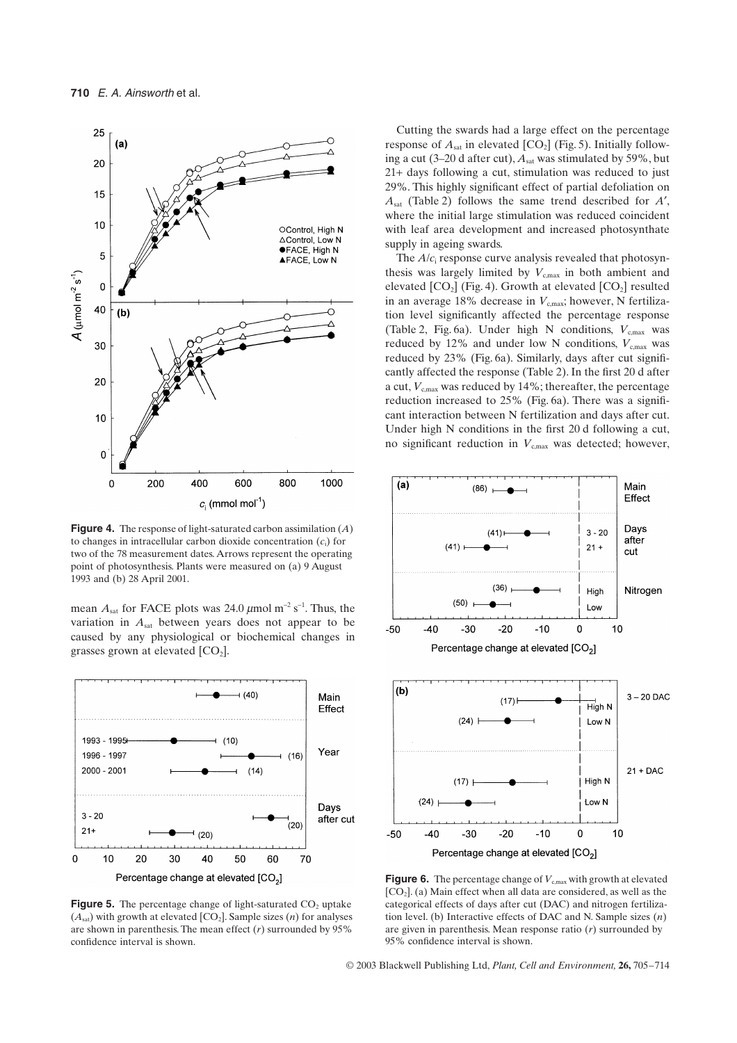

**Figure 4.** The response of light-saturated carbon assimilation (*A*) to changes in intracellular carbon dioxide concentration (*c*i) for two of the 78 measurement dates. Arrows represent the operating point of photosynthesis. Plants were measured on (a) 9 August 1993 and (b) 28 April 2001.

mean  $A_{\text{sat}}$  for FACE plots was 24.0  $\mu$ mol m<sup>-2</sup> s<sup>-1</sup>. Thus, the variation in *A*sat between years does not appear to be caused by any physiological or biochemical changes in grasses grown at elevated  $[CO<sub>2</sub>]$ .



**Figure 5.** The percentage change of light-saturated  $CO<sub>2</sub>$  uptake  $(A<sub>sat</sub>)$  with growth at elevated  $[CO<sub>2</sub>]$ . Sample sizes (*n*) for analyses are shown in parenthesis. The mean effect (*r*) surrounded by 95% confidence interval is shown.

Cutting the swards had a large effect on the percentage response of  $A<sub>sat</sub>$  in elevated  $[CO<sub>2</sub>]$  (Fig. 5). Initially following a cut (3-20 d after cut),  $A<sub>sat</sub>$  was stimulated by 59%, but 21+ days following a cut, stimulation was reduced to just 29%. This highly significant effect of partial defoliation on *A*sat (Table 2) follows the same trend described for *A*¢, where the initial large stimulation was reduced coincident with leaf area development and increased photosynthate supply in ageing swards.

The *A*/*c*i response curve analysis revealed that photosynthesis was largely limited by  $V_{\text{c,max}}$  in both ambient and elevated  $[CO_2]$  (Fig. 4). Growth at elevated  $[CO_2]$  resulted in an average 18% decrease in  $V_{\text{c,max}}$ ; however, N fertilization level significantly affected the percentage response (Table 2, Fig. 6a). Under high N conditions,  $V_{\text{c,max}}$  was reduced by 12% and under low N conditions,  $V_{\text{c,max}}$  was reduced by 23% (Fig. 6a). Similarly, days after cut significantly affected the response (Table 2). In the first 20 d after a cut,  $V_{\text{c,max}}$  was reduced by 14%; thereafter, the percentage reduction increased to 25% (Fig. 6a). There was a significant interaction between N fertilization and days after cut. Under high N conditions in the first 20 d following a cut, no significant reduction in  $V_{\text{c,max}}$  was detected; however,



**Figure 6.** The percentage change of  $V_{c,max}$  with growth at elevated  $[CO<sub>2</sub>]$ . (a) Main effect when all data are considered, as well as the categorical effects of days after cut (DAC) and nitrogen fertilization level. (b) Interactive effects of DAC and N. Sample sizes (*n*) are given in parenthesis. Mean response ratio (*r*) surrounded by 95% confidence interval is shown.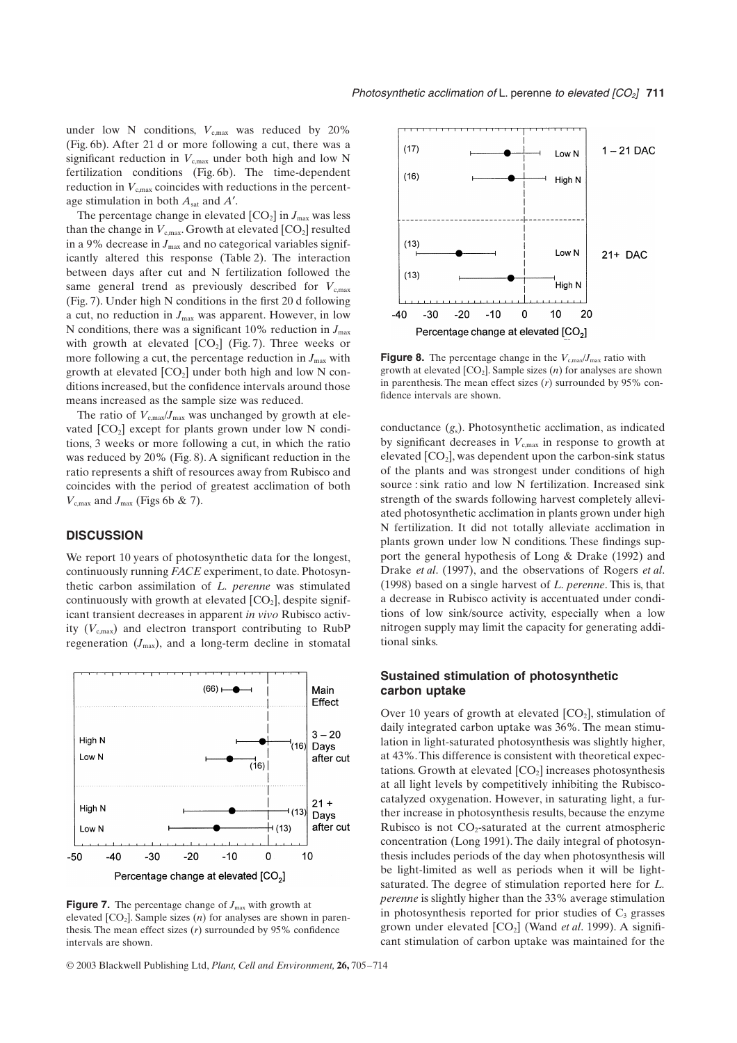under low N conditions,  $V_{\text{c,max}}$  was reduced by 20% (Fig. 6b). After 21 d or more following a cut, there was a significant reduction in  $V_{c,max}$  under both high and low N fertilization conditions (Fig. 6b). The time-dependent reduction in  $V_{c,max}$  coincides with reductions in the percentage stimulation in both *A*sat and *A*¢.

The percentage change in elevated  $[CO_2]$  in  $J_{\text{max}}$  was less than the change in  $V_{c,max}$ . Growth at elevated  $[CO_2]$  resulted in a 9% decrease in  $J_{\text{max}}$  and no categorical variables significantly altered this response (Table 2). The interaction between days after cut and N fertilization followed the same general trend as previously described for  $V_{\text{c,max}}$ (Fig. 7). Under high N conditions in the first 20 d following a cut, no reduction in  $J_{\text{max}}$  was apparent. However, in low N conditions, there was a significant  $10\%$  reduction in  $J_{\text{max}}$ with growth at elevated  $[CO_2]$  (Fig. 7). Three weeks or more following a cut, the percentage reduction in  $J_{\text{max}}$  with growth at elevated  $[CO_2]$  under both high and low N conditions increased, but the confidence intervals around those means increased as the sample size was reduced.

The ratio of  $V_{\text{cmax}}/J_{\text{max}}$  was unchanged by growth at elevated  $[CO_2]$  except for plants grown under low N conditions, 3 weeks or more following a cut, in which the ratio was reduced by 20% (Fig. 8). A significant reduction in the ratio represents a shift of resources away from Rubisco and coincides with the period of greatest acclimation of both  $V_{\text{c,max}}$  and  $J_{\text{max}}$  (Figs 6b & 7).

## **DISCUSSION**

We report 10 years of photosynthetic data for the longest, continuously running *FACE* experiment, to date. Photosynthetic carbon assimilation of *L. perenne* was stimulated continuously with growth at elevated  $[CO<sub>2</sub>]$ , despite significant transient decreases in apparent *in vivo* Rubisco activity  $(V_{c,max})$  and electron transport contributing to RubP regeneration  $(J_{\text{max}})$ , and a long-term decline in stomatal



**Figure 7.** The percentage change of  $J_{\text{max}}$  with growth at elevated  $[CO_2]$ . Sample sizes  $(n)$  for analyses are shown in parenthesis. The mean effect sizes (*r*) surrounded by 95% confidence intervals are shown.



**Figure 8.** The percentage change in the  $V_{c,max}/J_{max}$  ratio with growth at elevated  $[CO_2]$ . Sample sizes  $(n)$  for analyses are shown in parenthesis. The mean effect sizes (*r*) surrounded by 95% confidence intervals are shown.

conductance (*g*s). Photosynthetic acclimation, as indicated by significant decreases in  $V_{c,max}$  in response to growth at elevated  $[CO_2]$ , was dependent upon the carbon-sink status of the plants and was strongest under conditions of high source : sink ratio and low N fertilization. Increased sink strength of the swards following harvest completely alleviated photosynthetic acclimation in plants grown under high N fertilization. It did not totally alleviate acclimation in plants grown under low N conditions. These findings support the general hypothesis of Long & Drake (1992) and Drake *et al*. (1997), and the observations of Rogers *et al*. (1998) based on a single harvest of *L. perenne*. This is, that a decrease in Rubisco activity is accentuated under conditions of low sink/source activity, especially when a low nitrogen supply may limit the capacity for generating additional sinks.

# **Sustained stimulation of photosynthetic carbon uptake**

Over 10 years of growth at elevated  $[CO<sub>2</sub>]$ , stimulation of daily integrated carbon uptake was 36%. The mean stimulation in light-saturated photosynthesis was slightly higher, at 43%. This difference is consistent with theoretical expectations. Growth at elevated  $[CO<sub>2</sub>]$  increases photosynthesis at all light levels by competitively inhibiting the Rubiscocatalyzed oxygenation. However, in saturating light, a further increase in photosynthesis results, because the enzyme Rubisco is not  $CO_2$ -saturated at the current atmospheric concentration (Long 1991). The daily integral of photosynthesis includes periods of the day when photosynthesis will be light-limited as well as periods when it will be lightsaturated. The degree of stimulation reported here for *L. perenne* is slightly higher than the 33% average stimulation in photosynthesis reported for prior studies of  $C_3$  grasses grown under elevated [CO<sub>2</sub>] (Wand *et al.* 1999). A significant stimulation of carbon uptake was maintained for the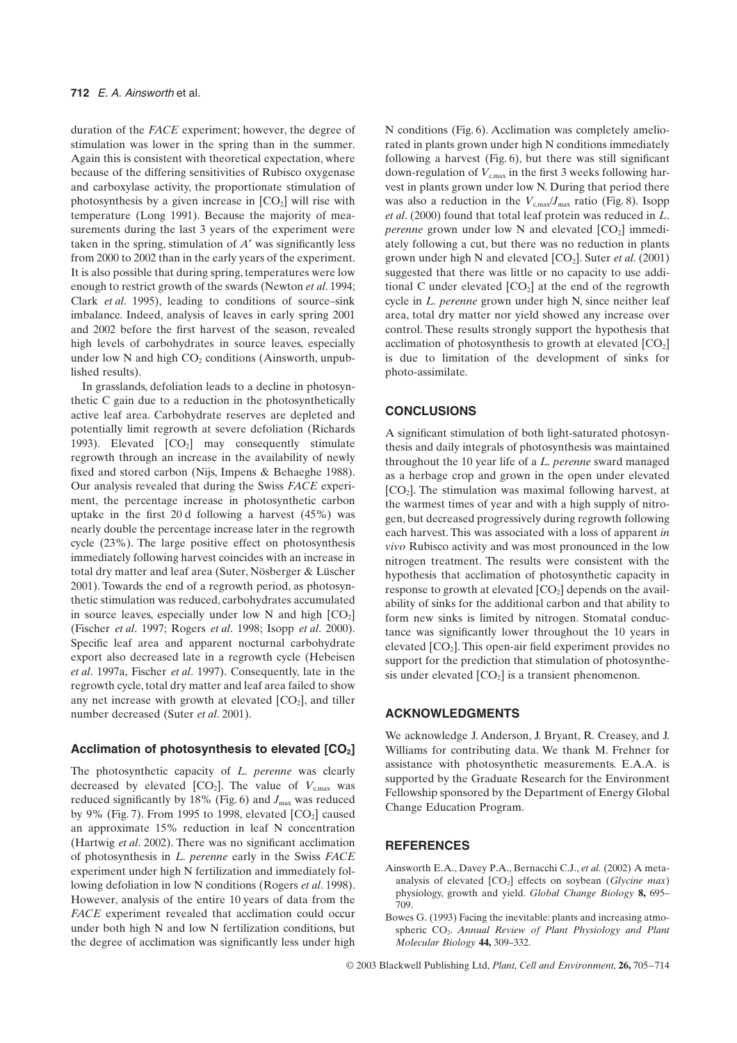duration of the *FACE* experiment; however, the degree of stimulation was lower in the spring than in the summer. Again this is consistent with theoretical expectation, where because of the differing sensitivities of Rubisco oxygenase and carboxylase activity, the proportionate stimulation of photosynthesis by a given increase in  $[CO<sub>2</sub>]$  will rise with temperature (Long 1991). Because the majority of measurements during the last 3 years of the experiment were taken in the spring, stimulation of  $A'$  was significantly less from 2000 to 2002 than in the early years of the experiment. It is also possible that during spring, temperatures were low enough to restrict growth of the swards (Newton *et al*. 1994; Clark *et al*. 1995), leading to conditions of source–sink imbalance. Indeed, analysis of leaves in early spring 2001 and 2002 before the first harvest of the season, revealed high levels of carbohydrates in source leaves, especially under low N and high  $CO<sub>2</sub>$  conditions (Ainsworth, unpublished results).

In grasslands, defoliation leads to a decline in photosynthetic C gain due to a reduction in the photosynthetically active leaf area. Carbohydrate reserves are depleted and potentially limit regrowth at severe defoliation (Richards 1993). Elevated  $[CO<sub>2</sub>]$  may consequently stimulate regrowth through an increase in the availability of newly fixed and stored carbon (Nijs, Impens & Behaeghe 1988). Our analysis revealed that during the Swiss *FACE* experiment, the percentage increase in photosynthetic carbon uptake in the first 20 d following a harvest (45%) was nearly double the percentage increase later in the regrowth cycle (23%). The large positive effect on photosynthesis immediately following harvest coincides with an increase in total dry matter and leaf area (Suter, Nösberger & Lüscher 2001). Towards the end of a regrowth period, as photosynthetic stimulation was reduced, carbohydrates accumulated in source leaves, especially under low N and high  $[CO<sub>2</sub>]$ (Fischer *et al*. 1997; Rogers *et al*. 1998; Isopp *et al*. 2000). Specific leaf area and apparent nocturnal carbohydrate export also decreased late in a regrowth cycle (Hebeisen *et al*. 1997a, Fischer *et al*. 1997). Consequently, late in the regrowth cycle, total dry matter and leaf area failed to show any net increase with growth at elevated  $[CO<sub>2</sub>]$ , and tiller number decreased (Suter *et al*. 2001).

## Acclimation of photosynthesis to elevated [CO<sub>2</sub>]

The photosynthetic capacity of *L. perenne* was clearly decreased by elevated  $[CO_2]$ . The value of  $V_{c,max}$  was reduced significantly by 18% (Fig. 6) and  $J_{\text{max}}$  was reduced by 9% (Fig. 7). From 1995 to 1998, elevated  $[CO<sub>2</sub>]$  caused an approximate 15% reduction in leaf N concentration (Hartwig *et al*. 2002). There was no significant acclimation of photosynthesis in *L. perenne* early in the Swiss *FACE* experiment under high N fertilization and immediately following defoliation in low N conditions (Rogers *et al*. 1998). However, analysis of the entire 10 years of data from the *FACE* experiment revealed that acclimation could occur under both high N and low N fertilization conditions, but the degree of acclimation was significantly less under high N conditions (Fig. 6). Acclimation was completely ameliorated in plants grown under high N conditions immediately following a harvest (Fig. 6), but there was still significant down-regulation of  $V_{\text{cmax}}$  in the first 3 weeks following harvest in plants grown under low N. During that period there was also a reduction in the  $V_{c,max}/J_{max}$  ratio (Fig. 8). Isopp *et al*. (2000) found that total leaf protein was reduced in *L*. *perenne* grown under low N and elevated  $[CO_2]$  immediately following a cut, but there was no reduction in plants grown under high N and elevated  $[CO_2]$ . Suter *et al.* (2001) suggested that there was little or no capacity to use additional C under elevated  $[CO_2]$  at the end of the regrowth cycle in *L. perenne* grown under high N, since neither leaf area, total dry matter nor yield showed any increase over control. These results strongly support the hypothesis that acclimation of photosynthesis to growth at elevated  $[CO<sub>2</sub>]$ is due to limitation of the development of sinks for photo-assimilate.

## **CONCLUSIONS**

A significant stimulation of both light-saturated photosynthesis and daily integrals of photosynthesis was maintained throughout the 10 year life of a *L. perenne* sward managed as a herbage crop and grown in the open under elevated  $[CO<sub>2</sub>]$ . The stimulation was maximal following harvest, at the warmest times of year and with a high supply of nitrogen, but decreased progressively during regrowth following each harvest. This was associated with a loss of apparent *in vivo* Rubisco activity and was most pronounced in the low nitrogen treatment. The results were consistent with the hypothesis that acclimation of photosynthetic capacity in response to growth at elevated  $[CO<sub>2</sub>]$  depends on the availability of sinks for the additional carbon and that ability to form new sinks is limited by nitrogen. Stomatal conductance was significantly lower throughout the 10 years in elevated  $[CO<sub>2</sub>]$ . This open-air field experiment provides no support for the prediction that stimulation of photosynthesis under elevated  $[CO<sub>2</sub>]$  is a transient phenomenon.

## **ACKNOWLEDGMENTS**

We acknowledge J. Anderson, J. Bryant, R. Creasey, and J. Williams for contributing data. We thank M. Frehner for assistance with photosynthetic measurements. E.A.A. is supported by the Graduate Research for the Environment Fellowship sponsored by the Department of Energy Global Change Education Program.

## **REFERENCES**

- Ainsworth E.A., Davey P.A., Bernacchi C.J., *et al.* (2002) A metaanalysis of elevated  $[CO_2]$  effects on soybean (*Glycine max*) physiology, growth and yield. *Global Change Biology* **8,** 695– 709.
- Bowes G. (1993) Facing the inevitable: plants and increasing atmospheric CO<sub>2</sub>. Annual Review of Plant Physiology and Plant *Molecular Biology* **44,** 309–332.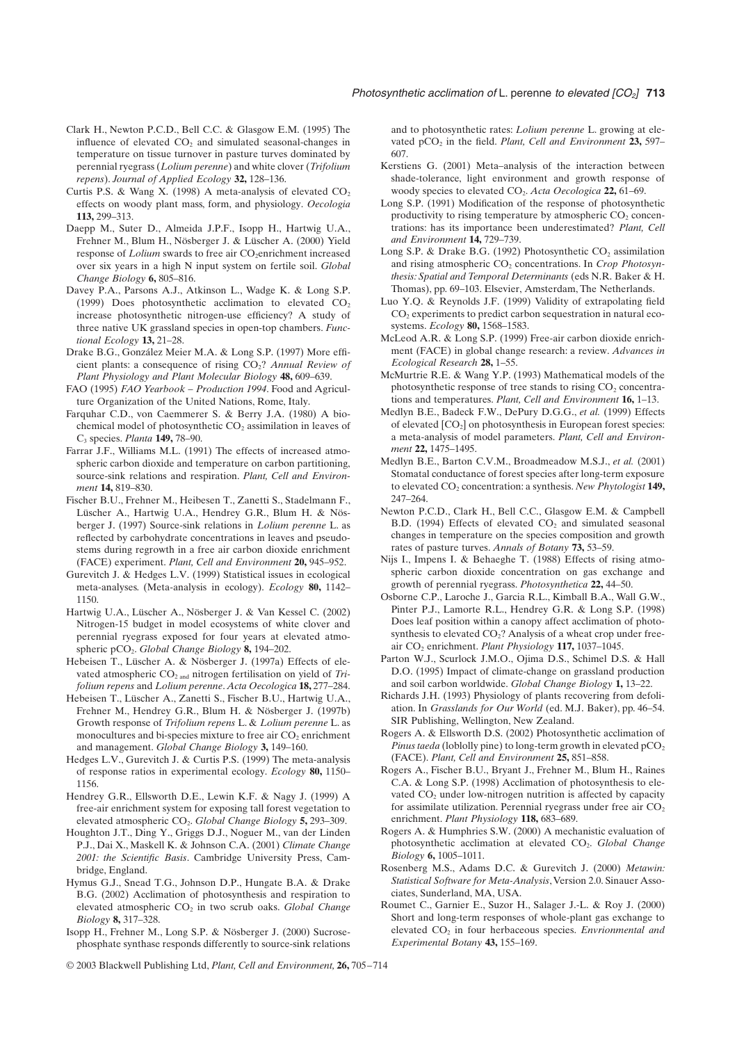- Clark H., Newton P.C.D., Bell C.C. & Glasgow E.M. (1995) The influence of elevated  $CO<sub>2</sub>$  and simulated seasonal-changes in temperature on tissue turnover in pasture turves dominated by perennial ryegrass (*Lolium perenne*) and white clover (*Trifolium repens*). *Journal of Applied Ecology* **32,** 128–136.
- Curtis P.S. & Wang X. (1998) A meta-analysis of elevated  $CO<sub>2</sub>$ effects on woody plant mass, form, and physiology. *Oecologia* **113,** 299–313.
- Daepp M., Suter D., Almeida J.P.F., Isopp H., Hartwig U.A., Frehner M., Blum H., Nösberger J. & Lüscher A. (2000) Yield response of *Lolium* swards to free air CO<sub>2</sub>enrichment increased over six years in a high N input system on fertile soil. *Global Change Biology* **6,** 805–816.
- Davey P.A., Parsons A.J., Atkinson L., Wadge K. & Long S.P. (1999) Does photosynthetic acclimation to elevated  $CO<sub>2</sub>$ increase photosynthetic nitrogen-use efficiency? A study of three native UK grassland species in open-top chambers. *Functional Ecology* **13,** 21–28.
- Drake B.G., González Meier M.A. & Long S.P. (1997) More efficient plants: a consequence of rising CO2? *Annual Review of Plant Physiology and Plant Molecular Biology* **48,** 609–639.
- FAO (1995) *FAO Yearbook Production 1994*. Food and Agriculture Organization of the United Nations, Rome, Italy.
- Farquhar C.D., von Caemmerer S. & Berry J.A. (1980) A biochemical model of photosynthetic  $CO<sub>2</sub>$  assimilation in leaves of C3 species. *Planta* **149,** 78–90.
- Farrar J.F., Williams M.L. (1991) The effects of increased atmospheric carbon dioxide and temperature on carbon partitioning, source-sink relations and respiration. *Plant, Cell and Environment* **14,** 819–830.
- Fischer B.U., Frehner M., Heibesen T., Zanetti S., Stadelmann F., Lüscher A., Hartwig U.A., Hendrey G.R., Blum H. & Nösberger J. (1997) Source-sink relations in *Lolium perenne* L. as reflected by carbohydrate concentrations in leaves and pseudostems during regrowth in a free air carbon dioxide enrichment (FACE) experiment. *Plant, Cell and Environment* **20,** 945–952.
- Gurevitch J. & Hedges L.V. (1999) Statistical issues in ecological meta-analyses. (Meta-analysis in ecology). *Ecology* **80,** 1142– 1150.
- Hartwig U.A., Lüscher A., Nösberger J. & Van Kessel C. (2002) Nitrogen-15 budget in model ecosystems of white clover and perennial ryegrass exposed for four years at elevated atmospheric pCO2. *Global Change Biology* **8,** 194–202.
- Hebeisen T., Lüscher A. & Nösberger J. (1997a) Effects of elevated atmospheric CO<sub>2 and</sub> nitrogen fertilisation on yield of *Trifolium repens* and *Lolium perenne*. *Acta Oecologica* **18,** 277–284.
- Hebeisen T., Lüscher A., Zanetti S., Fischer B.U., Hartwig U.A., Frehner M., Hendrey G.R., Blum H. & Nösberger J. (1997b) Growth response of *Trifolium repens* L. & *Lolium perenne* L. as monocultures and bi-species mixture to free air  $CO<sub>2</sub>$  enrichment and management. *Global Change Biology* **3,** 149–160.
- Hedges L.V., Gurevitch J. & Curtis P.S. (1999) The meta-analysis of response ratios in experimental ecology. *Ecology* **80,** 1150– 1156.
- Hendrey G.R., Ellsworth D.E., Lewin K.F. & Nagy J. (1999) A free-air enrichment system for exposing tall forest vegetation to elevated atmospheric CO<sub>2</sub>. *Global Change Biology* **5**, 293–309.
- Houghton J.T., Ding Y., Griggs D.J., Noguer M., van der Linden P.J., Dai X., Maskell K. & Johnson C.A. (2001) *Climate Change 2001: the Scientific Basis*. Cambridge University Press, Cambridge, England.
- Hymus G.J., Snead T.G., Johnson D.P., Hungate B.A. & Drake B.G. (2002) Acclimation of photosynthesis and respiration to elevated atmospheric CO<sub>2</sub> in two scrub oaks. *Global Change Biology* **8,** 317–328.
- Isopp H., Frehner M., Long S.P. & Nösberger J. (2000) Sucrosephosphate synthase responds differently to source-sink relations

and to photosynthetic rates: *Lolium perenne* L. growing at elevated pCO<sub>2</sub> in the field. *Plant, Cell and Environment* 23, 597– 607.

- Kerstiens G. (2001) Meta–analysis of the interaction between shade-tolerance, light environment and growth response of woody species to elevated CO<sub>2</sub>. *Acta Oecologica* 22, 61–69.
- Long S.P. (1991) Modification of the response of photosynthetic productivity to rising temperature by atmospheric  $CO<sub>2</sub>$  concentrations: has its importance been underestimated? *Plant, Cell and Environment* **14,** 729–739.
- Long S.P. & Drake B.G. (1992) Photosynthetic  $CO_2$  assimilation and rising atmospheric CO<sub>2</sub> concentrations. In *Crop Photosynthesis: Spatial and Temporal Determinants* (eds N.R. Baker & H. Thomas), pp. 69–103. Elsevier, Amsterdam, The Netherlands.
- Luo Y.Q. & Reynolds J.F. (1999) Validity of extrapolating field  $CO<sub>2</sub>$  experiments to predict carbon sequestration in natural ecosystems. *Ecology* **80,** 1568–1583.
- McLeod A.R. & Long S.P. (1999) Free-air carbon dioxide enrichment (FACE) in global change research: a review. *Advances in Ecological Research* **28,** 1–55.
- McMurtrie R.E. & Wang Y.P. (1993) Mathematical models of the photosynthetic response of tree stands to rising  $CO<sub>2</sub>$  concentrations and temperatures. *Plant, Cell and Environment* **16,** 1–13.
- Medlyn B.E., Badeck F.W., DePury D.G.G., *et al.* (1999) Effects of elevated [CO<sub>2</sub>] on photosynthesis in European forest species: a meta-analysis of model parameters. *Plant, Cell and Environment* **22,** 1475–1495.
- Medlyn B.E., Barton C.V.M., Broadmeadow M.S.J., *et al.* (2001) Stomatal conductance of forest species after long-term exposure to elevated CO<sub>2</sub> concentration: a synthesis. *New Phytologist* 149, 247–264.
- Newton P.C.D., Clark H., Bell C.C., Glasgow E.M. & Campbell B.D. (1994) Effects of elevated  $CO<sub>2</sub>$  and simulated seasonal changes in temperature on the species composition and growth rates of pasture turves. *Annals of Botany* **73,** 53–59.
- Nijs I., Impens I. & Behaeghe T. (1988) Effects of rising atmospheric carbon dioxide concentration on gas exchange and growth of perennial ryegrass. *Photosynthetica* **22,** 44–50.
- Osborne C.P., Laroche J., Garcia R.L., Kimball B.A., Wall G.W., Pinter P.J., Lamorte R.L., Hendrey G.R. & Long S.P. (1998) Does leaf position within a canopy affect acclimation of photosynthesis to elevated  $CO<sub>2</sub>$ ? Analysis of a wheat crop under freeair CO<sub>2</sub> enrichment. *Plant Physiology* 117, 1037-1045.
- Parton W.J., Scurlock J.M.O., Ojima D.S., Schimel D.S. & Hall D.O. (1995) Impact of climate-change on grassland production and soil carbon worldwide. *Global Change Biology* **1,** 13–22.
- Richards J.H. (1993) Physiology of plants recovering from defoliation. In *Grasslands for Our World* (ed. M.J. Baker), pp. 46–54. SIR Publishing, Wellington, New Zealand.
- Rogers A. & Ellsworth D.S. (2002) Photosynthetic acclimation of *Pinus taeda* (loblolly pine) to long-term growth in elevated  $pCO<sub>2</sub>$ (FACE). *Plant, Cell and Environment* **25,** 851–858.
- Rogers A., Fischer B.U., Bryant J., Frehner M., Blum H., Raines C.A. & Long S.P. (1998) Acclimation of photosynthesis to elevated  $CO<sub>2</sub>$  under low-nitrogen nutrition is affected by capacity for assimilate utilization. Perennial ryegrass under free air  $CO<sub>2</sub>$ enrichment. *Plant Physiology* **118,** 683–689.
- Rogers A. & Humphries S.W. (2000) A mechanistic evaluation of photosynthetic acclimation at elevated CO<sub>2</sub>. *Global Change Biology* **6,** 1005–1011.
- Rosenberg M.S., Adams D.C. & Gurevitch J. (2000) *Metawin: Statistical Software for Meta-Analysis*, Version 2.0. Sinauer Associates, Sunderland, MA, USA.
- Roumet C., Garnier E., Suzor H., Salager J.-L. & Roy J. (2000) Short and long-term responses of whole-plant gas exchange to elevated CO<sub>2</sub> in four herbaceous species. *Envrionmental and Experimental Botany* **43,** 155–169.

© 2003 Blackwell Publishing Ltd, *Plant, Cell and Environment,* **26,** 705–714